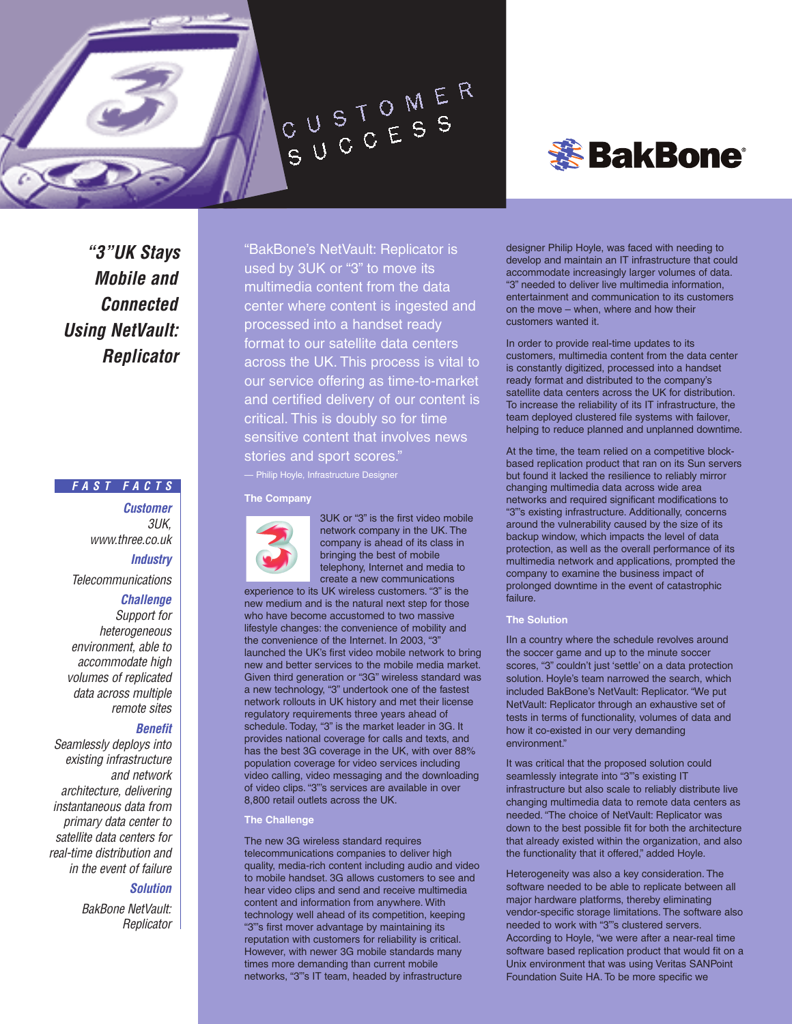

*"3"UK Stays Mobile and Connected Using NetVault: Replicator*

### *FAST FACTS*

*Customer 3UK, www.three.co.uk Industry*

*Telecommunications*

### *Challenge*

*Support for heterogeneous environment, able to accommodate high volumes of replicated data across multiple remote sites*

# *Benefit*

*Seamlessly deploys into existing infrastructure and network architecture, delivering instantaneous data from primary data center to satellite data centers for real-time distribution and in the event of failure* 

## *Solution*

*BakBone NetVault: Replicator* "BakBone's NetVault: Replicator is used by 3UK or "3" to move its multimedia content from the data center where content is ingested and processed into a handset ready format to our satellite data centers across the UK. This process is vital to our service offering as time-to-market and certified delivery of our content is critical. This is doubly so for time sensitive content that involves news stories and sport scores."

— Philip Hoyle, Infrastructure Designer

#### **The Company**



3UK or "3" is the first video mobile network company in the UK. The company is ahead of its class in bringing the best of mobile telephony, Internet and media to create a new communications

experience to its UK wireless customers. "3" is the new medium and is the natural next step for those who have become accustomed to two massive lifestyle changes: the convenience of mobility and the convenience of the Internet. In 2003, "3" launched the UK's first video mobile network to bring new and better services to the mobile media market. Given third generation or "3G" wireless standard was a new technology, "3" undertook one of the fastest network rollouts in UK history and met their license regulatory requirements three years ahead of schedule. Today, "3" is the market leader in 3G. It provides national coverage for calls and texts, and has the best 3G coverage in the UK, with over 88% population coverage for video services including video calling, video messaging and the downloading of video clips. "3"'s services are available in over 8,800 retail outlets across the UK.

### **The Challenge**

The new 3G wireless standard requires telecommunications companies to deliver high quality, media-rich content including audio and video to mobile handset. 3G allows customers to see and hear video clips and send and receive multimedia content and information from anywhere. With technology well ahead of its competition, keeping "3"'s first mover advantage by maintaining its reputation with customers for reliability is critical. However, with newer 3G mobile standards many times more demanding than current mobile networks, "3"'s IT team, headed by infrastructure



designer Philip Hoyle, was faced with needing to develop and maintain an IT infrastructure that could accommodate increasingly larger volumes of data. "3" needed to deliver live multimedia information, entertainment and communication to its customers on the move – when, where and how their customers wanted it.

In order to provide real-time updates to its customers, multimedia content from the data center is constantly digitized, processed into a handset ready format and distributed to the company's satellite data centers across the UK for distribution. To increase the reliability of its IT infrastructure, the team deployed clustered file systems with failover, helping to reduce planned and unplanned downtime.

At the time, the team relied on a competitive blockbased replication product that ran on its Sun servers but found it lacked the resilience to reliably mirror changing multimedia data across wide area networks and required significant modifications to "3"'s existing infrastructure. Additionally, concerns around the vulnerability caused by the size of its backup window, which impacts the level of data protection, as well as the overall performance of its multimedia network and applications, prompted the company to examine the business impact of prolonged downtime in the event of catastrophic failure.

## **The Solution**

IIn a country where the schedule revolves around the soccer game and up to the minute soccer scores, "3" couldn't just 'settle' on a data protection solution. Hoyle's team narrowed the search, which included BakBone's NetVault: Replicator. "We put NetVault: Replicator through an exhaustive set of tests in terms of functionality, volumes of data and how it co-existed in our very demanding environment"

It was critical that the proposed solution could seamlessly integrate into "3"'s existing IT infrastructure but also scale to reliably distribute live changing multimedia data to remote data centers as needed. "The choice of NetVault: Replicator was down to the best possible fit for both the architecture that already existed within the organization, and also the functionality that it offered," added Hoyle.

Heterogeneity was also a key consideration. The software needed to be able to replicate between all major hardware platforms, thereby eliminating vendor-specific storage limitations. The software also needed to work with "3"'s clustered servers. According to Hoyle, "we were after a near-real time software based replication product that would fit on a Unix environment that was using Veritas SANPoint Foundation Suite HA. To be more specific we